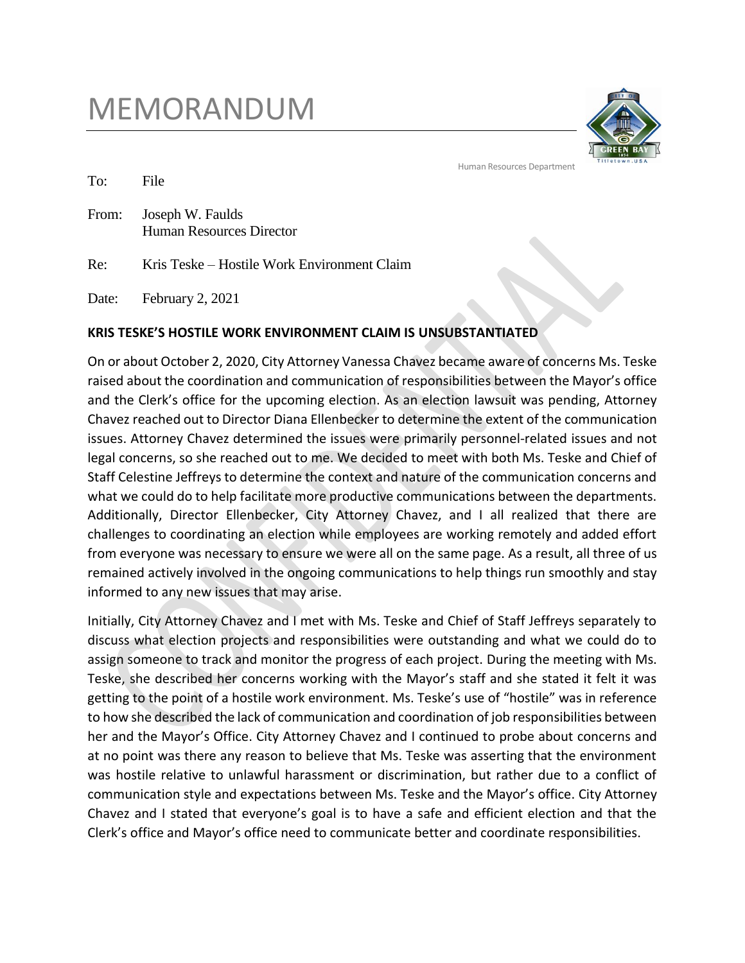## MEMORANDUM



Human Resources Department

To: File

From: Joseph W. Faulds Human Resources Director

Re: Kris Teske – Hostile Work Environment Claim

Date: February 2, 2021

## **KRIS TESKE'S HOSTILE WORK ENVIRONMENT CLAIM IS UNSUBSTANTIATED**

On or about October 2, 2020, City Attorney Vanessa Chavez became aware of concerns Ms. Teske raised about the coordination and communication of responsibilities between the Mayor's office and the Clerk's office for the upcoming election. As an election lawsuit was pending, Attorney Chavez reached out to Director Diana Ellenbecker to determine the extent of the communication issues. Attorney Chavez determined the issues were primarily personnel-related issues and not legal concerns, so she reached out to me. We decided to meet with both Ms. Teske and Chief of Staff Celestine Jeffreys to determine the context and nature of the communication concerns and what we could do to help facilitate more productive communications between the departments. Additionally, Director Ellenbecker, City Attorney Chavez, and I all realized that there are challenges to coordinating an election while employees are working remotely and added effort from everyone was necessary to ensure we were all on the same page. As a result, all three of us remained actively involved in the ongoing communications to help things run smoothly and stay informed to any new issues that may arise.

Initially, City Attorney Chavez and I met with Ms. Teske and Chief of Staff Jeffreys separately to discuss what election projects and responsibilities were outstanding and what we could do to assign someone to track and monitor the progress of each project. During the meeting with Ms. Teske, she described her concerns working with the Mayor's staff and she stated it felt it was getting to the point of a hostile work environment. Ms. Teske's use of "hostile" was in reference to how she described the lack of communication and coordination of job responsibilities between her and the Mayor's Office. City Attorney Chavez and I continued to probe about concerns and at no point was there any reason to believe that Ms. Teske was asserting that the environment was hostile relative to unlawful harassment or discrimination, but rather due to a conflict of communication style and expectations between Ms. Teske and the Mayor's office. City Attorney Chavez and I stated that everyone's goal is to have a safe and efficient election and that the Clerk's office and Mayor's office need to communicate better and coordinate responsibilities.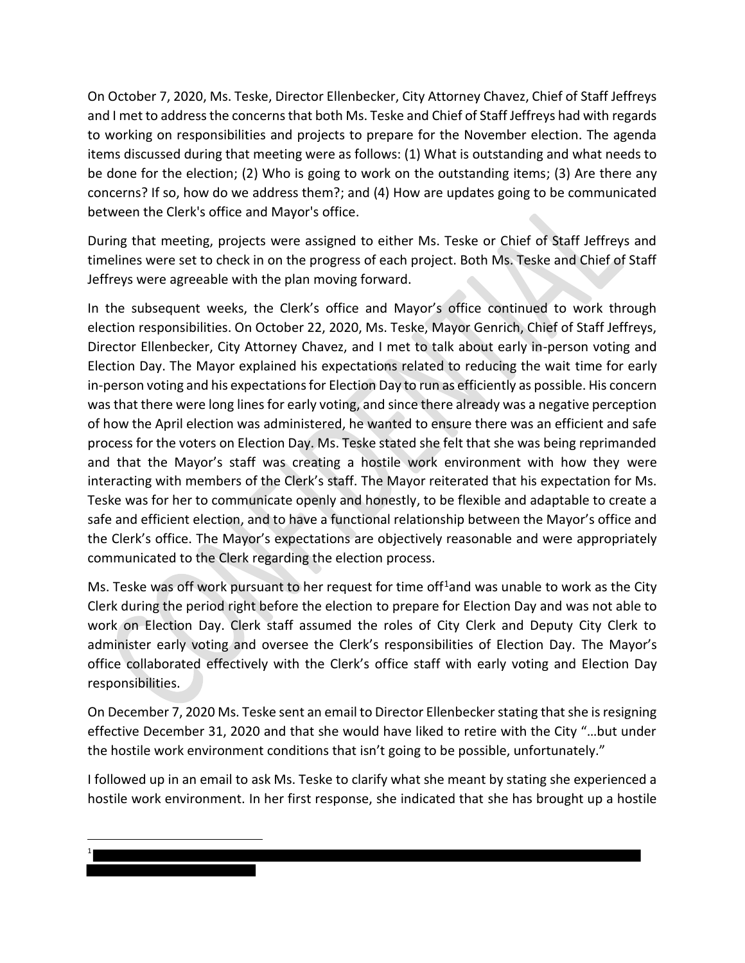On October 7, 2020, Ms. Teske, Director Ellenbecker, City Attorney Chavez, Chief of Staff Jeffreys and I met to address the concerns that both Ms. Teske and Chief of Staff Jeffreys had with regards to working on responsibilities and projects to prepare for the November election. The agenda items discussed during that meeting were as follows: (1) What is outstanding and what needs to be done for the election; (2) Who is going to work on the outstanding items; (3) Are there any concerns? If so, how do we address them?; and (4) How are updates going to be communicated between the Clerk's office and Mayor's office.

During that meeting, projects were assigned to either Ms. Teske or Chief of Staff Jeffreys and timelines were set to check in on the progress of each project. Both Ms. Teske and Chief of Staff Jeffreys were agreeable with the plan moving forward.

In the subsequent weeks, the Clerk's office and Mayor's office continued to work through election responsibilities. On October 22, 2020, Ms. Teske, Mayor Genrich, Chief of Staff Jeffreys, Director Ellenbecker, City Attorney Chavez, and I met to talk about early in-person voting and Election Day. The Mayor explained his expectations related to reducing the wait time for early in-person voting and his expectations for Election Day to run as efficiently as possible. His concern was that there were long lines for early voting, and since there already was a negative perception of how the April election was administered, he wanted to ensure there was an efficient and safe process for the voters on Election Day. Ms. Teske stated she felt that she was being reprimanded and that the Mayor's staff was creating a hostile work environment with how they were interacting with members of the Clerk's staff. The Mayor reiterated that his expectation for Ms. Teske was for her to communicate openly and honestly, to be flexible and adaptable to create a safe and efficient election, and to have a functional relationship between the Mayor's office and the Clerk's office. The Mayor's expectations are objectively reasonable and were appropriately communicated to the Clerk regarding the election process.

Ms. Teske was off work pursuant to her request for time of  $f<sup>1</sup>$ and was unable to work as the City Clerk during the period right before the election to prepare for Election Day and was not able to work on Election Day. Clerk staff assumed the roles of City Clerk and Deputy City Clerk to administer early voting and oversee the Clerk's responsibilities of Election Day. The Mayor's office collaborated effectively with the Clerk's office staff with early voting and Election Day responsibilities.

On December 7, 2020 Ms. Teske sent an email to Director Ellenbecker stating that she is resigning effective December 31, 2020 and that she would have liked to retire with the City "…but under the hostile work environment conditions that isn't going to be possible, unfortunately."

I followed up in an email to ask Ms. Teske to clarify what she meant by stating she experienced a hostile work environment. In her first response, she indicated that she has brought up a hostile

l 1